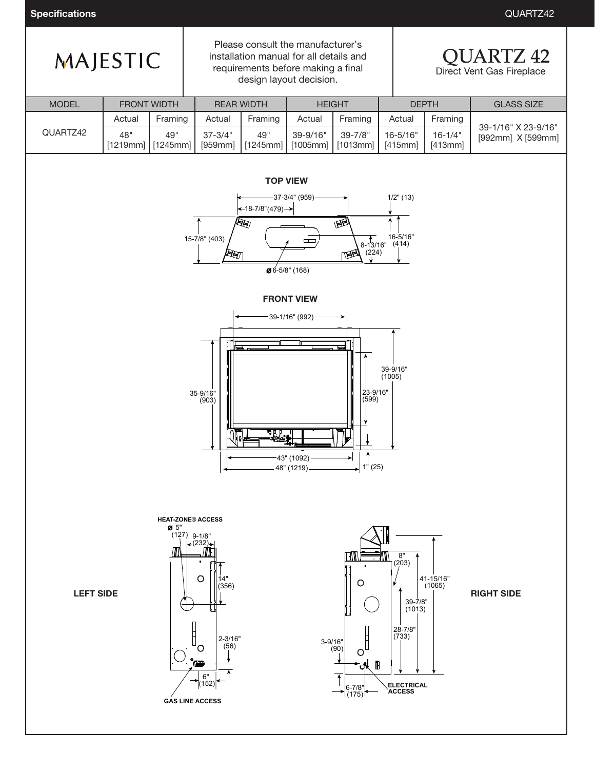**Specifications** QUARTZ42